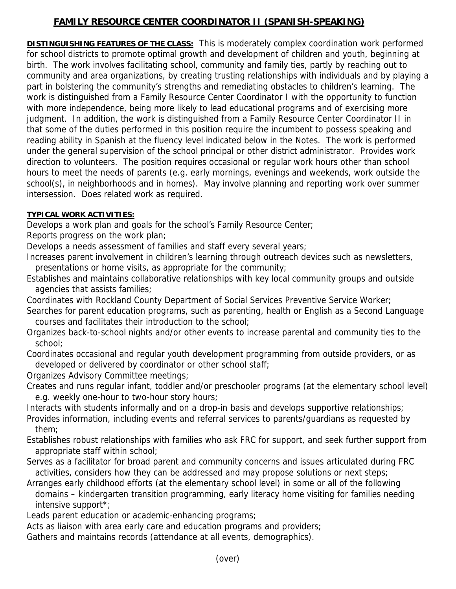## **FAMILY RESOURCE CENTER COORDINATOR II (SPANISH-SPEAKING)**

**DISTINGUISHING FEATURES OF THE CLASS:** This is moderately complex coordination work performed for school districts to promote optimal growth and development of children and youth, beginning at birth. The work involves facilitating school, community and family ties, partly by reaching out to community and area organizations, by creating trusting relationships with individuals and by playing a part in bolstering the community's strengths and remediating obstacles to children's learning. The work is distinguished from a Family Resource Center Coordinator I with the opportunity to function with more independence, being more likely to lead educational programs and of exercising more judgment. In addition, the work is distinguished from a Family Resource Center Coordinator II in that some of the duties performed in this position require the incumbent to possess speaking and reading ability in Spanish at the fluency level indicated below in the Notes. The work is performed under the general supervision of the school principal or other district administrator. Provides work direction to volunteers. The position requires occasional or regular work hours other than school hours to meet the needs of parents (e.g. early mornings, evenings and weekends, work outside the school(s), in neighborhoods and in homes). May involve planning and reporting work over summer intersession. Does related work as required.

## **TYPICAL WORK ACTIVITIES:**

Develops a work plan and goals for the school's Family Resource Center;

Reports progress on the work plan;

Develops a needs assessment of families and staff every several years;

- Increases parent involvement in children's learning through outreach devices such as newsletters, presentations or home visits, as appropriate for the community;
- Establishes and maintains collaborative relationships with key local community groups and outside agencies that assists families;
- Coordinates with Rockland County Department of Social Services Preventive Service Worker;
- Searches for parent education programs, such as parenting, health or English as a Second Language courses and facilitates their introduction to the school;
- Organizes back-to-school nights and/or other events to increase parental and community ties to the school;
- Coordinates occasional and regular youth development programming from outside providers, or as developed or delivered by coordinator or other school staff;
- Organizes Advisory Committee meetings;
- Creates and runs regular infant, toddler and/or preschooler programs (at the elementary school level) e.g. weekly one-hour to two-hour story hours;

Interacts with students informally and on a drop-in basis and develops supportive relationships;

- Provides information, including events and referral services to parents/guardians as requested by them;
- Establishes robust relationships with families who ask FRC for support, and seek further support from appropriate staff within school;
- Serves as a facilitator for broad parent and community concerns and issues articulated during FRC activities, considers how they can be addressed and may propose solutions or next steps;
- Arranges early childhood efforts (at the elementary school level) in some or all of the following domains – kindergarten transition programming, early literacy home visiting for families needing intensive support\*;

Leads parent education or academic-enhancing programs;

Acts as liaison with area early care and education programs and providers;

Gathers and maintains records (attendance at all events, demographics).